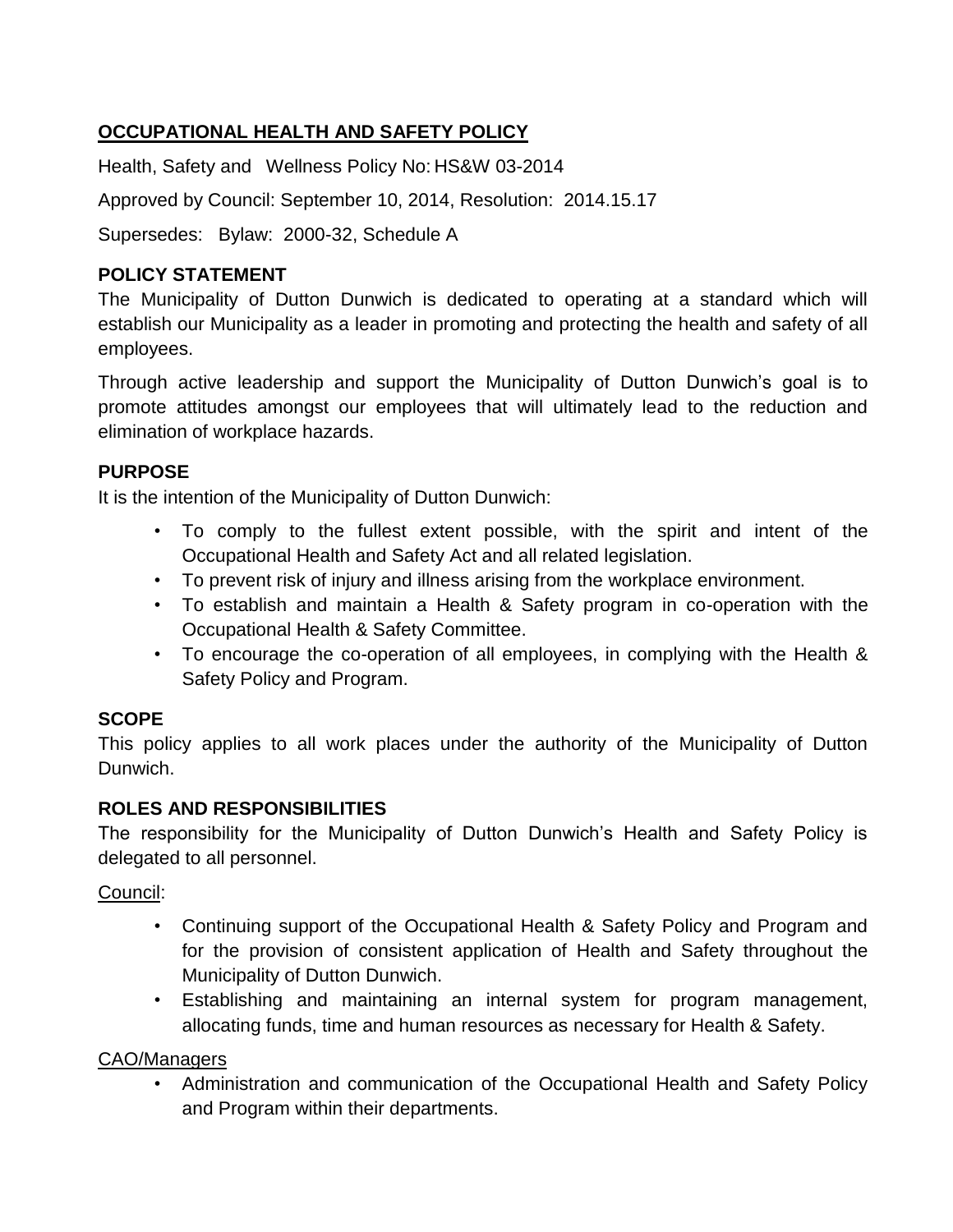# **OCCUPATIONAL HEALTH AND SAFETY POLICY**

Health, Safety and Wellness Policy No: HS&W 03-2014

Approved by Council: September 10, 2014, Resolution: 2014.15.17

Supersedes: Bylaw: 2000-32, Schedule A

#### **POLICY STATEMENT**

The Municipality of Dutton Dunwich is dedicated to operating at a standard which will establish our Municipality as a leader in promoting and protecting the health and safety of all employees.

Through active leadership and support the Municipality of Dutton Dunwich's goal is to promote attitudes amongst our employees that will ultimately lead to the reduction and elimination of workplace hazards.

### **PURPOSE**

It is the intention of the Municipality of Dutton Dunwich:

- To comply to the fullest extent possible, with the spirit and intent of the Occupational Health and Safety Act and all related legislation.
- To prevent risk of injury and illness arising from the workplace environment.
- To establish and maintain a Health & Safety program in co-operation with the Occupational Health & Safety Committee.
- To encourage the co-operation of all employees, in complying with the Health & Safety Policy and Program.

### **SCOPE**

This policy applies to all work places under the authority of the Municipality of Dutton Dunwich.

### **ROLES AND RESPONSIBILITIES**

The responsibility for the Municipality of Dutton Dunwich's Health and Safety Policy is delegated to all personnel.

### Council:

- Continuing support of the Occupational Health & Safety Policy and Program and for the provision of consistent application of Health and Safety throughout the Municipality of Dutton Dunwich.
- Establishing and maintaining an internal system for program management, allocating funds, time and human resources as necessary for Health & Safety.

### CAO/Managers

• Administration and communication of the Occupational Health and Safety Policy and Program within their departments.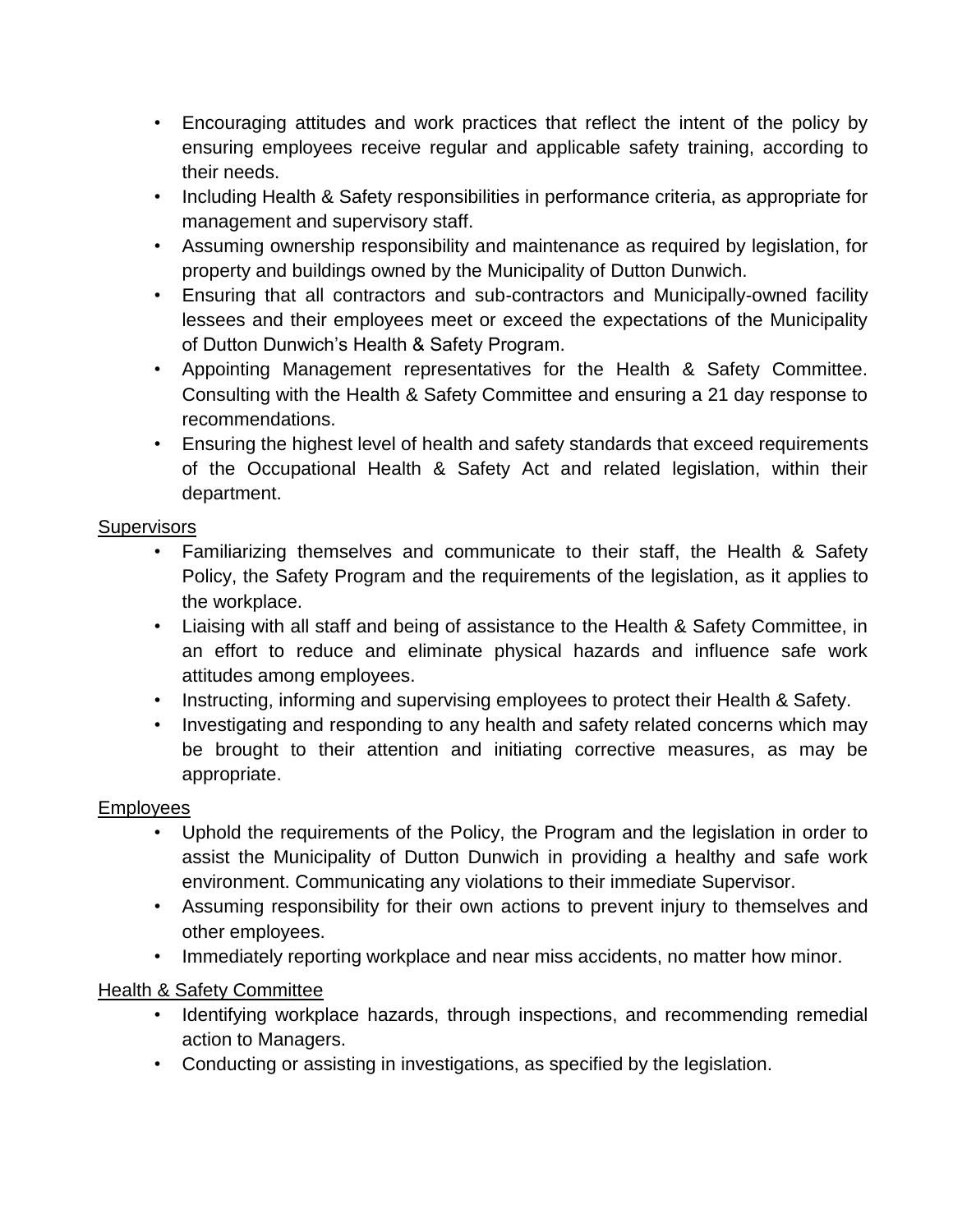- Encouraging attitudes and work practices that reflect the intent of the policy by ensuring employees receive regular and applicable safety training, according to their needs.
- Including Health & Safety responsibilities in performance criteria, as appropriate for management and supervisory staff.
- Assuming ownership responsibility and maintenance as required by legislation, for property and buildings owned by the Municipality of Dutton Dunwich.
- Ensuring that all contractors and sub-contractors and Municipally-owned facility lessees and their employees meet or exceed the expectations of the Municipality of Dutton Dunwich's Health & Safety Program.
- Appointing Management representatives for the Health & Safety Committee. Consulting with the Health & Safety Committee and ensuring a 21 day response to recommendations.
- Ensuring the highest level of health and safety standards that exceed requirements of the Occupational Health & Safety Act and related legislation, within their department.

## **Supervisors**

- Familiarizing themselves and communicate to their staff, the Health & Safety Policy, the Safety Program and the requirements of the legislation, as it applies to the workplace.
- Liaising with all staff and being of assistance to the Health & Safety Committee, in an effort to reduce and eliminate physical hazards and influence safe work attitudes among employees.
- Instructing, informing and supervising employees to protect their Health & Safety.
- Investigating and responding to any health and safety related concerns which may be brought to their attention and initiating corrective measures, as may be appropriate.

### Employees

- Uphold the requirements of the Policy, the Program and the legislation in order to assist the Municipality of Dutton Dunwich in providing a healthy and safe work environment. Communicating any violations to their immediate Supervisor.
- Assuming responsibility for their own actions to prevent injury to themselves and other employees.
- Immediately reporting workplace and near miss accidents, no matter how minor.

# Health & Safety Committee

- Identifying workplace hazards, through inspections, and recommending remedial action to Managers.
- Conducting or assisting in investigations, as specified by the legislation.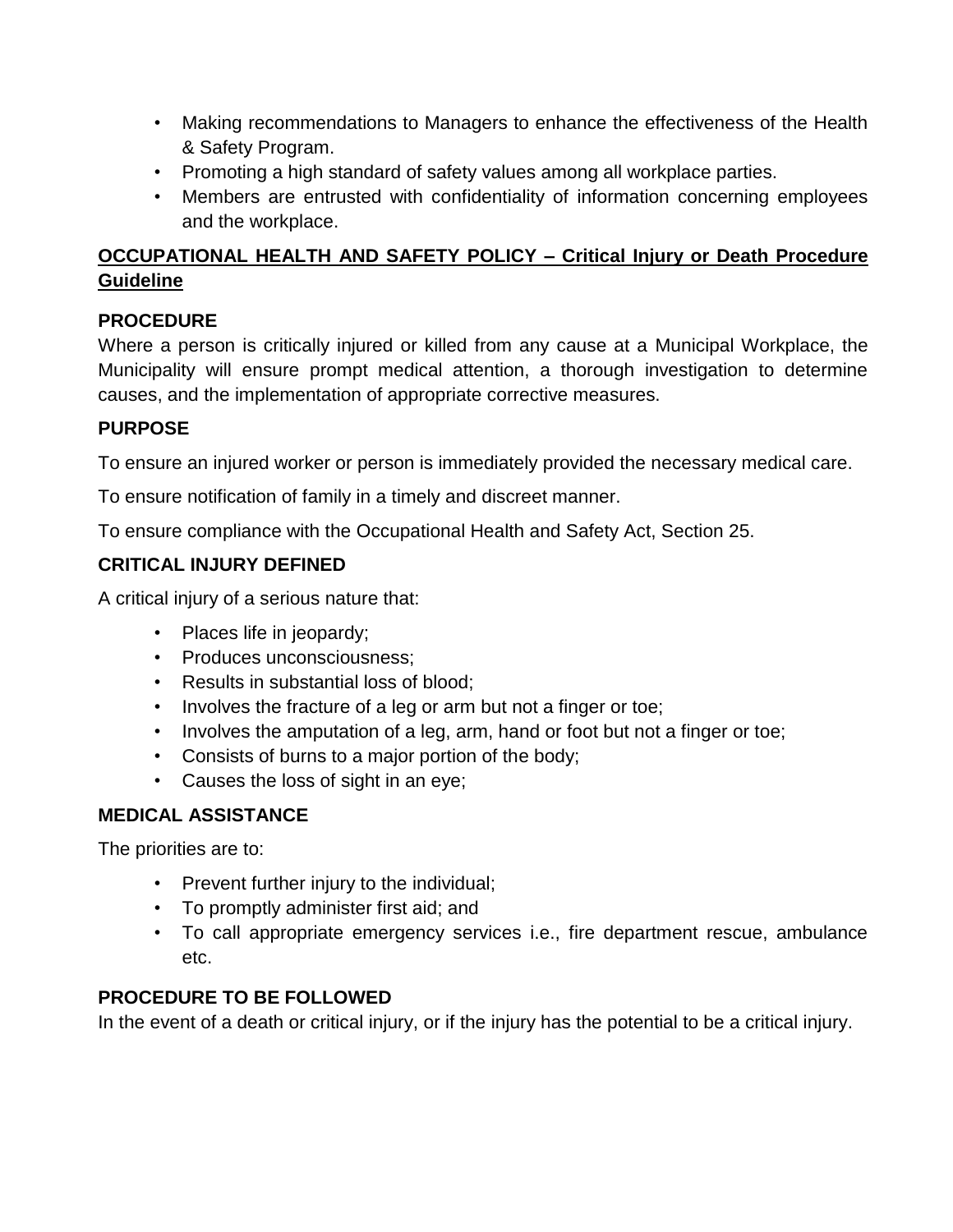- Making recommendations to Managers to enhance the effectiveness of the Health & Safety Program.
- Promoting a high standard of safety values among all workplace parties.
- Members are entrusted with confidentiality of information concerning employees and the workplace.

# **OCCUPATIONAL HEALTH AND SAFETY POLICY – Critical Injury or Death Procedure Guideline**

# **PROCEDURE**

Where a person is critically injured or killed from any cause at a Municipal Workplace, the Municipality will ensure prompt medical attention, a thorough investigation to determine causes, and the implementation of appropriate corrective measures.

# **PURPOSE**

To ensure an injured worker or person is immediately provided the necessary medical care.

To ensure notification of family in a timely and discreet manner.

To ensure compliance with the Occupational Health and Safety Act, Section 25.

# **CRITICAL INJURY DEFINED**

A critical injury of a serious nature that:

- Places life in jeopardy;
- Produces unconsciousness;
- Results in substantial loss of blood;
- Involves the fracture of a leg or arm but not a finger or toe;
- Involves the amputation of a leg, arm, hand or foot but not a finger or toe;
- Consists of burns to a major portion of the body;
- Causes the loss of sight in an eye;

# **MEDICAL ASSISTANCE**

The priorities are to:

- Prevent further injury to the individual;
- To promptly administer first aid; and
- To call appropriate emergency services i.e., fire department rescue, ambulance etc.

# **PROCEDURE TO BE FOLLOWED**

In the event of a death or critical injury, or if the injury has the potential to be a critical injury.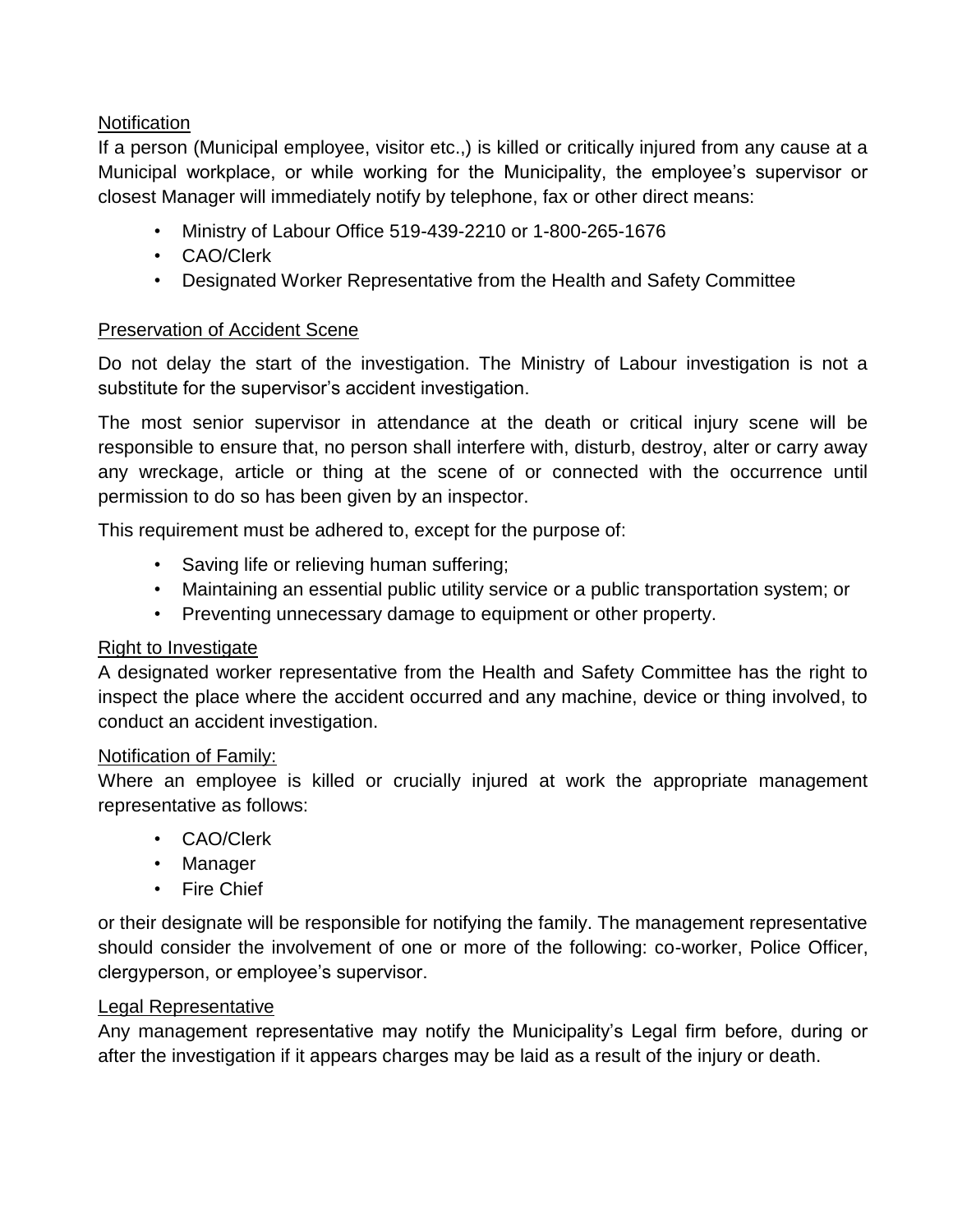### **Notification**

If a person (Municipal employee, visitor etc.,) is killed or critically injured from any cause at a Municipal workplace, or while working for the Municipality, the employee's supervisor or closest Manager will immediately notify by telephone, fax or other direct means:

- Ministry of Labour Office 519-439-2210 or 1-800-265-1676
- CAO/Clerk
- Designated Worker Representative from the Health and Safety Committee

#### Preservation of Accident Scene

Do not delay the start of the investigation. The Ministry of Labour investigation is not a substitute for the supervisor's accident investigation.

The most senior supervisor in attendance at the death or critical injury scene will be responsible to ensure that, no person shall interfere with, disturb, destroy, alter or carry away any wreckage, article or thing at the scene of or connected with the occurrence until permission to do so has been given by an inspector.

This requirement must be adhered to, except for the purpose of:

- Saving life or relieving human suffering;
- Maintaining an essential public utility service or a public transportation system; or
- Preventing unnecessary damage to equipment or other property.

#### Right to Investigate

A designated worker representative from the Health and Safety Committee has the right to inspect the place where the accident occurred and any machine, device or thing involved, to conduct an accident investigation.

#### Notification of Family:

Where an employee is killed or crucially injured at work the appropriate management representative as follows:

- CAO/Clerk
- Manager
- Fire Chief

or their designate will be responsible for notifying the family. The management representative should consider the involvement of one or more of the following: co-worker, Police Officer, clergyperson, or employee's supervisor.

#### Legal Representative

Any management representative may notify the Municipality's Legal firm before, during or after the investigation if it appears charges may be laid as a result of the injury or death.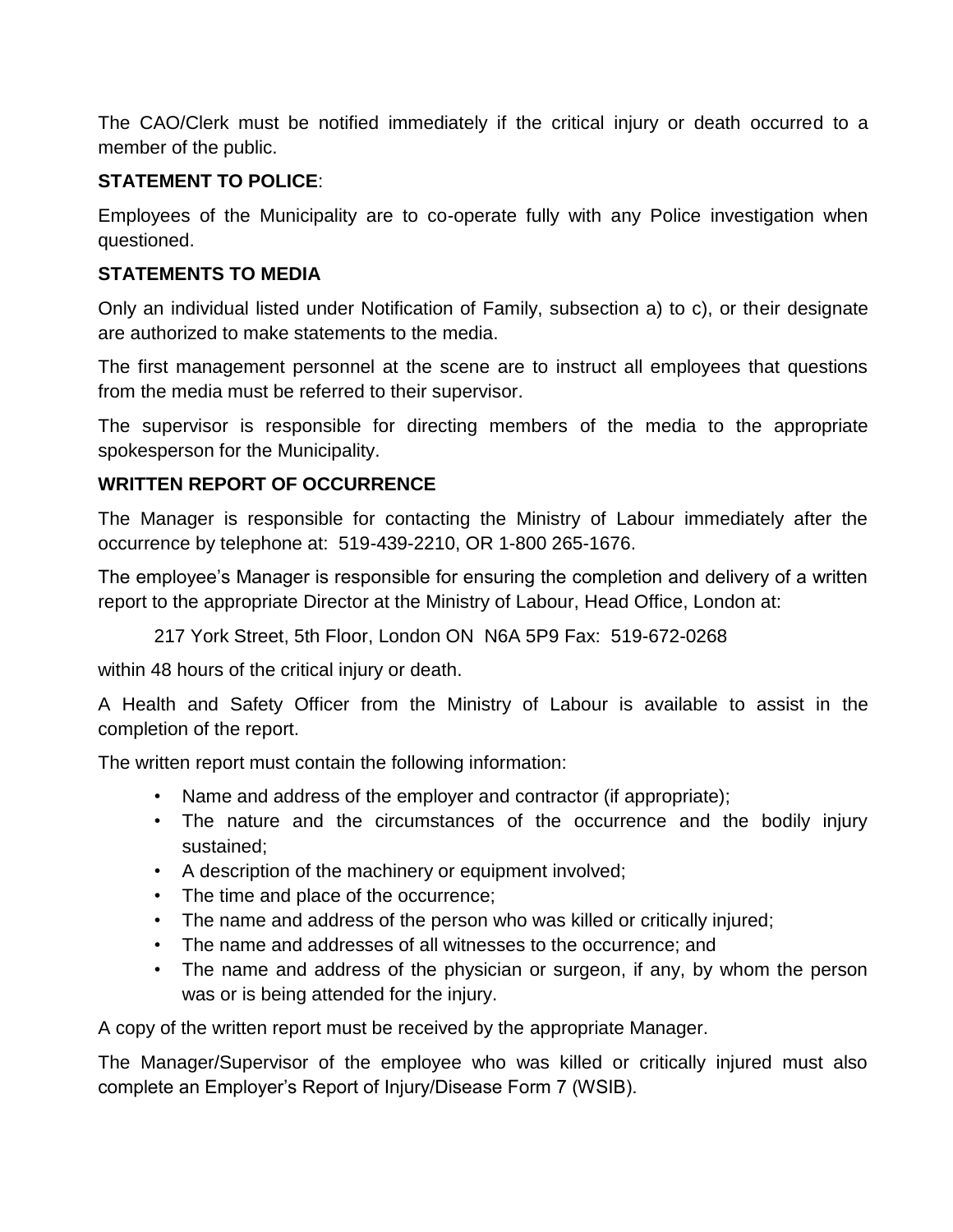The CAO/Clerk must be notified immediately if the critical injury or death occurred to a member of the public.

### **STATEMENT TO POLICE**:

Employees of the Municipality are to co-operate fully with any Police investigation when questioned.

## **STATEMENTS TO MEDIA**

Only an individual listed under Notification of Family, subsection a) to c), or their designate are authorized to make statements to the media.

The first management personnel at the scene are to instruct all employees that questions from the media must be referred to their supervisor.

The supervisor is responsible for directing members of the media to the appropriate spokesperson for the Municipality.

# **WRITTEN REPORT OF OCCURRENCE**

The Manager is responsible for contacting the Ministry of Labour immediately after the occurrence by telephone at: 519-439-2210, OR 1-800 265-1676.

The employee's Manager is responsible for ensuring the completion and delivery of a written report to the appropriate Director at the Ministry of Labour, Head Office, London at:

217 York Street, 5th Floor, London ON N6A 5P9 Fax: 519-672-0268

within 48 hours of the critical injury or death.

A Health and Safety Officer from the Ministry of Labour is available to assist in the completion of the report.

The written report must contain the following information:

- Name and address of the employer and contractor (if appropriate);
- The nature and the circumstances of the occurrence and the bodily injury sustained;
- A description of the machinery or equipment involved;
- The time and place of the occurrence;
- The name and address of the person who was killed or critically injured;
- The name and addresses of all witnesses to the occurrence; and
- The name and address of the physician or surgeon, if any, by whom the person was or is being attended for the injury.

A copy of the written report must be received by the appropriate Manager.

The Manager/Supervisor of the employee who was killed or critically injured must also complete an Employer's Report of Injury/Disease Form 7 (WSIB).